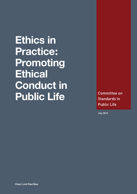**Ethics in Practice: Promoting Ethical Conduct in**  Public Life **Committee on** 

Standards in Public Life

July 2014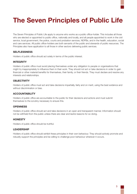# **The Seven Principles of Public Life**

The Seven Principles of Public Life apply to anyone who works as a public office-holder. This includes all those who are elected or appointed to public office, nationally and locally, and all people appointed to work in the civil service, local government, the police, courts and probation services, NDPBs, and in the health, education, social and care services. All public office-holders are both servants of the public and stewards of public resources. The Principles also have application to all those in other sectors delivering public services.

#### **SELFLESSNESS**

Holders of public office should act solely in terms of the public interest.

#### **INTEGRITY**

Holders of public office must avoid placing themselves under any obligation to people or organisations that might try inappropriately to influence them in their work. They should not act or take decisions in order to gain financial or other material benefits for themselves, their family, or their friends. They must declare and resolve any interests and relationships.

#### **OBJECTIVITY**

Holders of public office must act and take decisions impartially, fairly and on merit, using the best evidence and without discrimination or bias.

### **ACCOUNTABILITY**

Holders of public office are accountable to the public for their decisions and actions and must submit themselves to the scrutiny necessary to ensure this.

#### **OPENNESS**

Holders of public office should act and take decisions in an open and transparent manner. Information should not be withheld from the public unless there are clear and lawful reasons for so doing.

### **HONESTY**

Holders of public office should be truthful.

#### **LEADERSHIP**

Holders of public office should exhibit these principles in their own behaviour. They should actively promote and robustly support the principles and be willing to challenge poor behaviour wherever it occurs.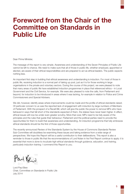# **Foreword from the Chair of the Committee on Standards in Public Life**

Dear Prime Minister,

The message of this report is very simple. Awareness and understanding of the Seven Principles of Public Life cannot be left to chance. We need to make sure that all of those in public life, whether employed, appointed or elected, are aware of their ethical responsibilities and are prepared to act as ethical leaders. The public expects nothing less.

An important first step in building that ethical awareness and understanding is induction. For most of those in public life, receiving induction is a normal part of taking up post, just as it is for those working in large organisations in the private and voluntary sectors. During the course of this project, we were pleased to note that many areas of public life have established induction programmes in place that referenced ethics – in Local Government and the Civil Service, for example. We were also pleased to note the calls, from Parliament and beyond, for induction to be introduced in areas where it was lacking, for example in relation to Police and Crime Commissioners and Special Advisers.

We did, however, identify areas where improvements could be made and the profile of ethical standards raised. Of particular concern to us was the reported lack of engagement with induction by large numbers of Members of Parliament. With the prospect of a Recall Bill, which will give the public the power to remove MPs who have behaved in ways that fall short of the standards expected of them, the stakes have never been higher. In effect, ethical issues will now be under even greater scrutiny. More than ever, MPs need to be fully aware of the principles and the rules that guide their behaviour; Parliament and the political parties need to provide the opportunities for them to build that awareness and understanding. An induction programme that fully embraces ethical standards should be the first of those opportunities.

The recently-announced Review of the Standards System by the House of Commons Standards Review Sub-Committee will doubtless be examining these issues and taking evidence from a wide range of perspectives. We hope this Report will be a useful contribution to their deliberations. This report is also a reminder to those in public life that the recommendations of Lord Nolan in his First Report continue to apply: *it is essential that more is done to inculcate high ethical standards through guidance, education, and training, particularly induction training*. I commend this Report to you.

w/ke

Lord Paul Bew Chair, Committee on Standards in Public Life July 2014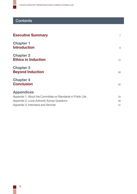## **Contents**

| <b>Executive Summary</b>                                    | $\overline{7}$ |
|-------------------------------------------------------------|----------------|
| <b>Chapter 1</b><br><b>Introduction</b>                     | 9              |
| <b>Chapter 2</b><br><b>Ethics in Induction</b>              | 15             |
| <b>Chapter 3</b><br><b>Beyond Induction</b>                 | 28             |
| <b>Chapter 4</b><br><b>Conclusion</b>                       | 32             |
| <b>Appendices</b>                                           |                |
| Appendix 1: About the Committee on Standards in Public Life | 34             |
| Appendix 2: Local Authority Survey Questions                | 36             |
| Appendix 3: Interviews and Seminar                          | 41             |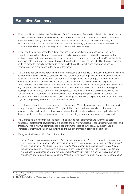## <span id="page-4-0"></span>Executive Summary

- **1.** When Lord Nolan published the First Report of the Committee on Standards in Public Life in 1995 he not only set out the Seven Principles of Public Life but also three 'common threads' for ensuring that those Principles were properly understood and followed – Codes of Conduct, Independent Scrutiny, and Guidance and Education. Lord Nolan was clear that the necessary guidance and education on ethical standards should encompass training and in particular induction training.<sup>1</sup>
- **2.** In this report we have revisited the subject of ethics in induction, both to emphasise that the Nolan Principles apply to the full range of organisations and individuals active in public life – a category that continues to expand – and to review provision of induction programmes to embed those Principles. In this report we note good practice, highlight areas where standards are at risk, and identify where improvements could be made to embed ethical standards more effectively. Our conclusions and suggestions for improvement are emboldened in the body of the report.
- **3.** The Committee's aim in this report has not been to impose a one-size-fits-all model of induction on all those covered by the Seven Principles of Public Life. We believe that every organisation should take the lead in designing and delivering an induction programme that responds to the challenges and circumstances of their particular area of public life. However, as a basic minimum, the Committee would expect to see induction cover the relevant code of conduct and the principles on which it is based, with an explanation of any compliance requirements that derive from that code, and reference to the channels for raising and dealing with ethical issues. Ideally, an induction process would relate the code and its principles to the particular role and responsibilities of the individual, demonstrating their practical as well as theoretical relevance, and involve active rather than passive learning. We would also expect attendance at induction to be, if not compulsory, the norm rather than the exception.
- **4.** In most areas of public life, our expectations are being met. Where they are not, we expect our suggestions for improvement to be taken on board. Throughout this project, we have been alert to the sensitivities attached to ethics in induction, but we do not believe that ethical standards can be an optional extra for those in public life or that the value of induction in embedding ethical standards can be overlooked.
- **5.** The Committee is aware that the subject of 'ethics training' for Parliamentarians, whether as part of induction or professional development, is a delicate and controversial issue – constitutionally, politically and practically. That is why we commissioned a paper from the Head of our Research Advisory Board, Professor Mark Philp, to inform our thinking on the subject of ethics in practice for politicians.
- **6.** We agree with Professor Philp's conclusion that:

*the challenge is to heighten awareness of the ethical principles, and to do so across the political system – from the local constituency party, the parliamentary party and the chief whips, the formal bodies such as the Parliamentary Standards Committee and the Parliamentary Ombudsman, and bodies linked to the senior civil service. This requires a degree of cross-party commitment. The Seven Principles are non-partisan in character, so that while the judgments politicians make are usually partisan on some dimensions, the common ethical standards that apply to any given decision need to be acknowledged.*<sup>2</sup>

<sup>1</sup> Committee on Standards in Public Life, *Members of Parliament, Ministers, civil servants and quangos*, Cm 2850, (May 1995), hereafter referred to as 'First Report.'

<sup>2</sup> Mark Philp, *Public Ethics and Political Judgment*, July 2014, [www.public-standards.gov.uk](http://www.public-standards.gov.uk)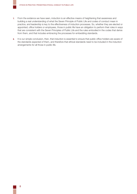- **7.** From the evidence we have seen, induction is an effective means of heightening that awareness and building a real understanding of what the Seven Principle of Public Life and codes of conduct mean in practice, and leadership is key to the effectiveness of induction processes. So, whether they are elected or appointed, office holders or employees, those in public life have an obligation to perform their roles in ways that are consistent with the Seven Principles of Public Life and the rules embodied in the codes that derive from them, and that includes embracing the processes for embedding standards.
- **8.** It is our simple conclusion, then, that induction is essential to ensure that public office holders are aware of the standards expected of them, and therefore that ethical standards need to be included in the induction arrangements for all those in public life.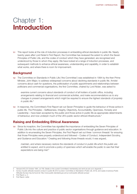## <span id="page-6-0"></span>Chapter 1: **Introduction**

**1.1** This report looks at the role of induction processes in embedding ethical standards in public life. Nearly twenty years after Lord Nolan's First Report, the Committee has reviewed the extent to which the Seven Principles of Public Life, and the codes of conduct which they have generated, are recognised and understood by those to whom they apply. We have looked at a range of induction processes, and subsequent methods to enhance ethical awareness, understanding and capability, in order to establish what works, and where there is room for improvement.

## **Background**

**1.2** The Committee on Standards in Public Life ('the Committee') was established in 1994 by the then Prime Minister, John Major, to address widespread concerns about declining standards in public life. Amidst concerns about cash for questions, the politicisation of public appointments and relationships between politicians and commercial organisations, the first Committee, chaired by Lord Nolan, was asked to:

*examine current concerns about standards of conduct of all holders of public office, including arrangements relating to financial and commercial activities, and make recommendations as to any changes in present arrangements which might be required to ensure the highest standards of propriety in public life.*<sup>3</sup>

**1.3** In response, the Committee's First Report set out Seven Principles to guide the behaviour of those active in public life. The Principles – Selflessness, Integrity, Objectivity, Accountability, Openness, Honesty and Leadership – have been accepted by the public and those active in public life as appropriate determinants of behaviour, and now underpin much of the UK's public sector ethical infrastructure.<sup>4</sup>

## **Raising and Embedding Ethical Awareness**

**1.4** Since its inception, the Committee has signalled the importance of embedding the Seven Principles of Public Life into the culture and practice of public sector organisations through guidance and education. In addition to enumerating the Seven Principles, the First Report set out three 'common threads' for ensuring that those Principles were properly understood and followed – Codes of Conduct, Independent Scrutiny, and Guidance and Education.<sup>5</sup> Creating and following those threads would, it was argued,

*maintain, and where necessary restore the standards of conduct in public life which the public are*  entitled to expect, and to promote a policy of openness which will enable the public to see that their *expectations are being met.*<sup>6</sup>

<sup>3</sup> *Hansard* (HC) 25 October 1994, col 758. Details on the current Committee's membership and remit are set out in [Appendix 1.](#page-31-0)

<sup>4</sup> *Survey of public attitudes towards conduct in public life 2012* (London: Committee on Standards in Public Life, 2013), and copies of previous Public Attitudes Surveys may be found at:<http://www.public-standards.gov.uk/our-work/public-attitude-surveys/>

<sup>5</sup> First Report, p. 3

<sup>6</sup> First Report, Letter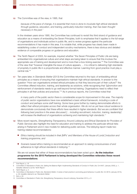**1.5** The Committee was of the view, in 1995, that

*because of the pace of change, it is essential that more is done to inculcate high ethical standards through guidance, education, and training, particularly induction training, than has been thought necessary in the past.*<sup>7</sup>

In the nineteen years since 1995, the Committee has continued to revisit this third strand of guidance and education as a means of embedding the Seven Principles, both to emphasise that it applies to the full range of organisations and individuals active in public life, and to review progress against the particular recommendations it has made in this area. It is notable that, while progress has clearly been made in establishing codes of conduct and independent scrutiny mechanisms, there is less obvious and detailed evidence of comparable progress on guidance and education.

- **1.6** The Tenth Report of 2003, for example, inquired whether "the Seven Principles of Public Life are being embedded into organisational culture and what steps are being taken to ensure that this involves the appropriate use of training and development and is more than a box-ticking exercise."8 The Committee was of the view that "however intangible the issue of culture appears, ... it is critical to delivering high standards of propriety in public life in a proportionate and effective manner. Learning from good practice must play a central role."9
- **1.7** Ten years later, in *Standards Matter* (2013) the Committee returned to the topic of embedding ethical principles as a means of ensuring that organisations maintain high ethical standards. In answer to the question "How can organisations embed ethical principles so that they become part of their culture?" the Committee offered induction, training, and leadership as solutions, while recognising that "[p]romotion and reinforcement of standards needs to go well beyond formal training. Organisations need to reflect their principles in all their policies and practices."10 As in previous reports, the Committee noted that

*in many parts of the public sector there is considerable scope for improvement in this area. The majority of public sector organisations have now established a basic ethical framework, including a code of conduct and perhaps some staff training. Some have gone further by making demonstrable efforts to reflect their ethical principles across their whole organisation. We do not as yet have robust evidence to demonstrate conclusively that these efforts have resulted in higher standards. But we are confident that following best practice in the areas discussed [… including recruitment, induction, training, leadership] will increase the likelihood of organisations achieving and maintaining high standards.*<sup>11</sup>

- **1.8** More recent reports, *Strengthening Transparency Around Lobbying* and *Ethical Standards for Providers of Public Services* also highlight the need for education and training to address the particular ethical risks arising in Parliament and in new models for delivering public services. The lobbying report made two training-related recommendations:
	- *Ethics training should be included in their [MPs' and Members of the House of Lords'] induction and training programme, and*
	- Scenario based ethics training is recommended as an approach to raising consciousness of and *adherence to high ethical standards in lobbying.*<sup>12</sup>

We are not aware that either of these recommendations has been acted upon. **As the induction programme for the 2015 Parliament is being developed the Committee reiterates these recent recommendations**.

<sup>7</sup> First Report, p. 18

<sup>8</sup> Committee on Standards in Public Life, *Getting the Balance Right: Implementing Standards of Conduct in Public Life,* Cm 6407, (January 2005), p. 1, hereafter referred to as the 'Tenth Report.'

<sup>9</sup> Tenth Report, p. 5

<sup>10</sup> Committee on Standards in Public Life*, Standards Matter: A review of best practice in promoting good behaviour in public life*, Cm 8519, (January 2013), p. 29, hereafter referred to as '*Standards Matter*.'

<sup>11</sup> Ibid, p. 29

<sup>12</sup> Committee on Standards in Public Life, *Strengthening Transparency Around Lobbying*, November 2013, p. 9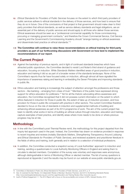- **1.9** *Ethical Standards for Providers of Public Services* focuses on the extent to which third party providers of public services adhere to ethical standards in the delivery of those services, and how best to ensure that they do so in future. One of the conclusions of that project is that government should make clear to third party providers that ethical standards, as well as service delivery standards and legal obligations, are an essential part of the delivery of public services and should apply to all those who deliver those services. Ethical awareness should be seen as a "professional commercial capability for those commissioning, procuring or managing government contracts," and therefore the Crown Commercial Service, Civil Service Learning and the Government's Commissioning Academy should "arrange training on ethical awareness and disseminate best practice on ethical standards."13
- **1.10 The Committee will continue to raise these recommendations on ethical training for third party providers as part of our forthcoming discussions with Government on how best to implement the recommendations of our report**.

## **The Current Project**

- **1.11** Against the backdrop of previous reports, and in light of continued standards breaches which have attracted public opprobrium, the Committee decided to revisit Lord Nolan's third strand of guidance and education, focusing on induction. While *Standards Matters* identified areas of good practice in induction, education and training it did so as part of a broader review of the standards landscape. None of the Committee's reports thus far have focused solely on induction, although almost all have signalled the importance of awareness raising and learning in embedding the Seven Principles and improving standards in public life.
- **1.12** Ethics education and training is increasingly the subject of attention amongst the professions and those sectors – like banking – emerging from crises of trust.<sup>14</sup> Members of the public have expressed strong support for ethics education for politicians.<sup>15</sup> Yet for all the rhetoric advocating ethics awareness and education, the Committee recognised that it did not possess current information on the extent to which ethics featured in induction for those in public life, the extent of take up of induction provision, and how provision for those in public life compared with practice in other sectors. The current Committee therefore decided to focus on the role of standards in induction and supplemental methods of building and enhancing ethical awareness as part of its 2014 programme of work. The aim of the current project has been to identify what works in terms of building an ethical culture through induction, education and training, capture examples of best practice, and identify areas where more needs to be done or where previous progress may be at risk.

### **Methodology**

- **1.13** In line with the Committee's post-Triennial Review remit, the methodology for this project departed from the inquiry-led approach used in the past. Instead, the Committee has drawn on evidence provided in response to recent inquiries and reviews (notably *Standards Matters, Strengthening Transparency Around Lobbying*  and *Ethical Standards for Providers of Public Services*), and reviewed academic and practitioner literature in the fields of ethics and training, both generally and in relation to a selection of individual professions.
- **1.14** In addition, the Committee conducted a snapshot survey of Local Authorities' approach to induction and training, sending a questionnaire to Local Authority Monitoring Officers in England and asking them to circulate to elected members. Completion of the survey was voluntary and responses were anonymous, although distinguishable in terms of Monitoring Officer or elected member. The list of survey questions is reproduced at Appendix 2 and the results may be found on our website at [www.public-standards.gov.uk.](http://www.public-standards.gov.uk)

<sup>13</sup> Committee on Standards in Public Life, *Ethical Standards for Providers of Public Services*, June 2014, p. 9

<sup>14</sup> See, for example the *Salz Review: An Independent Review of Barclays' Business Practices*, April 2013; the Banking Standards Review

<sup>(</sup><http://www.bankingstandardsreview.org.uk/>); and the Legal Education and Training Review (<http://www.letr.org.uk/>)

<sup>15</sup> *Audit of Political Engagement 11: The 2014 Report with a focus on the accountability and conduct of MPs*, Hansard Society, 2014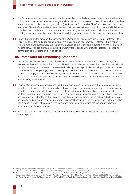- **1.15** The Committee also held a seminar with academics active in the fields of neuro-, educational, medical, and political ethics, as well as behavioural insight and the delivery of practitioner to practitioner advice in building ethical capacity in public sector organisations (see Appendix 3 for details). The Committee then conducted a number of face-to-face and telephone interviews with representatives from public, private and third sector organisations to understand how ethical standards are being embedded through induction with a view to building a particular organisational culture and identifying gaps and areas for improvement (see Appendix 3).
- **1.16** Finally, the Committee drew on the expertise of the Chair of its Research Advisory Board, Professor Mark Philp, to explore the particular issues arising from ethics and political practice. Professor Philp's paper *Public Ethics and Political Judgment* is published alongside this report and is available on the Committee's website at [www.public-standards.gov.uk.](http://www.public-standards.gov.uk) The Committee is especially grateful to Professor Philp for his contribution to the debate on political ethics.

### **The Framework for Embedding Standards**

- **1.17** As our Biennial Surveys have shown, there is now a widespread acceptance and understanding of the value of the Seven Principles of Public Life.16 There is also a public expectation that these Principles should be taken seriously, and be seen to be taken seriously, by those in public life, including all those who deliver public services. Unsurprisingly, then, the Principles, or similar variants, have formed the bases of codes of conduct that apply in most public sector organisations. Similarly, in the professions, and in the private and third sectors, ethical principles and codes of conduct based on those principles are now normal features of most working environments.
- **1.18** There is also a widespread acceptance that both principles and the codes, with their more detailed rules, need to be actively promoted, integrated into the operational structures of organisations and espoused as important in order to be effective in building an ethical culture and, by implication, reducing the risk of unethical behaviour and combating corruption.<sup>17</sup> A wide range of publications and organisations – national and international – devoted to the topics of preventing corruption, promoting compliance, building ethical knowledge and skills, and shaping and promoting ethical behaviour in the professions and in the workplace has provided a wealth of material on the theory and practice of embedding ethics through induction, guidance, education and training.
- **1.19** Box 1 sets out just a few examples of institutions or publications which investigate, promote or embody ethics in practice.

<sup>16</sup> *Survey of public attitudes towards conduct in public life 2012* (London: Committee on Standards in Public Life, 2013), and copies of previous Public Attitudes Surveys may be found at:<http://www.public-standards.gov.uk/our-work/public-attitude-surveys/>

<sup>17</sup> See, for example: Stuart C. Gilman, *Ethics Codes and Codes of Conduct as Tools for Promoting an Ethical and Professional Public Service: Comparative Successes and Lessons*, prepared for the Prem, the World Bank, Washington, 2005; Ethics Training for Public Officials, OECD, 2013; *Promoting Ethics in the Public Service*, Department of Economic and Social Affairs, Division for Public Economics and public Administration, United Nations, New York, 2000.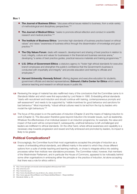#### **Box 1**

- **The Journal of Business Ethics**: "discusses ethical issues related to business, from a wide variety of methodological and disciplinary perspectives."18
- **The Journal of Medical Ethics**: "seeks to promote ethical reflection and conduct in scientific research and medical practice."19
- **The Institute of Business Ethics**: "promotes high standards of business practice based on ethical values" and raises "awareness of business ethics through the dissemination of knowledge and good practice."20
- **The City Values Forum**: deals with research, development and sharing of best practice in relation to trust, integrity, culture and values for businesses in the financial and business services arena," developing "a series of best practice guides, practical resource materials and training programmes."<sup>21</sup>
- **U.S. Office of Government Ethics**: a statutory agency to "foster high ethical standards for executive branch employees and strengthen the public's confidence that the Government's business is conducted with impartiality and integrity" and provide education and training to officials and employees.<sup>22</sup>
- **Harvard University: Kennedy School**: offering degrees and executive education for students, government officials and elected representatives; **Edmund J Safra Center for Ethics** which seeks to advance teaching and research on ethical issues in public life.
- **1.20** Reviewing the range of material has also reaffirmed many of the conclusions that the Committee came to in *Standards Matter* and which were first expounded by Lord Nolan in 1995. Embedding ethical standards "starts with recruitment and induction and should continue with training, contemporaneous prompts and self-assessment" and needs to be supported by "visible incentives for good behaviour and sanctions for bad behaviour." Most importantly, "robust ethical cultures need to be led from the top by leaders who model the right behaviours."23
- **1.21** The focus of this project is on the particulars of induction (Chapter 2) and the means of helping induction to work (Chapter 3). The discussion therefore goes beyond induction into broader issues, such as leadership. Whatever the effectiveness of an individual session in an induction programme, for example, the value and impact of that event will be compromised if, subsequently, unethical behaviour is left unchallenged and leaders are indifferent to ethical standards. On the other hand, where ethical awareness and capability is a necessary step towards progression and reward and fully embraced and promoted by leaders, its impact is likely to be greater.

## **Political Complications?**

**1.22** Encouragingly, the Committee found that most organisations accepted the principle of induction as a means of embedding ethical standards, and differed mainly in the extent to which they chose different options from a suite of similar teaching and learning methods, or chose to integrate ethics into existing processes rather than institute new standalone processes. The Committee noted, however, that members of the Westminster Parliament, and in particular the House of Commons, appeared to be noticeably behind some other organisations in embracing either the principle or the practice of induction, let alone accepting that there was a role for ethics within it.

<sup>18</sup> <http://www.springer.com/social+sciences/applied+ethics/journal/10551>

<sup>19</sup> <http://jme.bmj.com>

<sup>20</sup> <http://www.ibe.org.uk>

<sup>21</sup> [http://www.cityvaluesforum.org.uk/about\\_city\\_values\\_forum.html](http://www.cityvaluesforum.org.uk/about_city_values_forum.html)

<sup>22</sup> <http://www.oge.gov/About/Mission-and-Responsibilities/Mission---Responsibilities/>

<sup>23</sup> *Standards Matter*, p. 39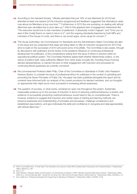- **1.23** According to the Hansard Society, "officials estimated that just 19% of new Members [in 2010] had attended at least one session [of the induction programme] and feedback suggested that attendance rarely rose above six Members at any one time."24 Furthermore, in 2010 the one workshop on dealing with ethical dilemmas was cancelled due to poor take-up.25 Add to this apparent lack of engagement statements like "The executive would love to train members of parliament. It absolutely mustn't happen" and "Once you've seen it [the Code] there's no need to return to it", and the ongoing standards breaches by both MPs and members of the House of Lords, and there is, we would argue, some cause for concern.26
- **1.24** The House Authorities, the Commissioner for Standards and the Administration Select Committee are alert to the issue and we understand that steps are being taken to offer an induction programme for 2015 that aims to build on the successes of 2010 and avoid some of its pitfalls. The Committee is also aware, through its discussions with politicians and its review of the academic literature on continuing professional development for politicians, of the complications arising from the issue of ethics in practice within an oppositional political system. The Committee therefore asked itself whether Westminster politics, or the nature of politics itself, were sufficiently different from other areas of public life, including those involving elected representatives, to warrant the lack of other engagement with induction and processes for continuing ethical awareness as currently conceived.
- **1.25** We commissioned Professor Mark Philp, Chair of the Committee on Standards in Public Life's Research Advisory Board, to consider the issue of professional ethics for politicians in the context of upholding and promoting the Seven Principles of Public Life. His paper has been published alongside this report and its contents have informed both our analysis of the current provisions for elected members, and our thoughts on approaches that might prove more successful in increasing ethical awareness.
- **1.26** The question of success, or what works, remained an open one throughout this project. Systematic, measurable evidence as to the success of induction in terms of reducing unethical behaviour is limited, and evidence of successfully preventing unethical behaviour would need to rely on counterfactuals. There is, however, evidence to suggest that induction and certain types of training and learning methods can enhance awareness and understanding of principles and processes, challenge complacency and established assumptions, and give individuals the skills and confidence to recognise and deal appropriately with ethical dilemmas.<sup>27</sup>

<sup>24</sup> Ruth Fox and Matt Korris, "A Fresh Start? The Orientation and Induction of New MPs at Westminster Following the 2010 General Election," *Parliamentary Affairs*, 65(2012), p. 567.

<sup>25</sup> Ibid, p. 571

<sup>26</sup> Katrin Steinack, "Between Apathy and Enthusiasm: An International Comparison of MPs' Attitudes Towards Parliamentary Training," *Parliamentary Affairs*, 65(2012), p. 549 and Nicholas Allen, "Voices from the Shop Floor: MPs and the Domestic Effects of Ethics Reforms," *Parliamentary Affairs*, 62(2009), p. 91

<sup>27</sup> Ken Coghill et al, "Professional Development Programmes for Members of Parliament," *Parliamentary Affairs*, 61(2008), 73-98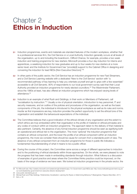# <span id="page-12-0"></span>Chapter 2 **Ethics in Induction**

- **2.1** Induction programmes, events and materials are standard features of the modern workplace, whether that is a professional services firm, the Civil Service or a Local Authority. Induction generally occurs at all levels of the organisation, up to and including the boardroom. Clifford Chance, for example, provides a two week induction and training programme for new starters; Microsoft provides a four day induction for interns and apprentices, a weeklong induction for new graduates and up to four weeks for new starters at a more senior level; and the Institute for Government has "provide[d] support to the Cabinet Office in designing and convening the induction for lead NEDs [Non Executive Directors]."28
- **2.2** In other parts of the public sector, the Civil Service has an induction programme for new Fast Streamers, and a Civil Service Learning website with a dedicated 'New to the Civil Service' section with "a recommended pathway of key learning to help you orientate yourself and get to grips with a few essentials" accessible to all Civil Servants. 90% of respondents to our local government survey said that their Local Authority provided an induction programme for newly elected councillors.<sup>29</sup> The Westminster Parliament, since the 1980s at least, has also offered an induction programme which has enjoyed varying levels of attendance.30
- **2.3** Induction is an example of what Rush and Giddings, in their work on Members of Parliament, call "socialisation by instruction."31 Usually a mix of physical orientation, introduction to key personnel, IT and security measures, and an outline of the policies and procedures of the organisation, as well as the basic components of the job, the individual is introduced to the physical workplace as well as its rules and norms. Insofar as first impressions are key, induction provides the perfect opportunity to set the ethical tone of the organisation and establish the behavioural expectations of the individual.
- **2.4** The Committee believes that a good indication of the ethical climate of any organisation and the extent to which ethics are truly embedded within that organisation is the profile of material on ethical principles and any codes of conduct within an induction programme. The approach taken to the delivery of that material is also pertinent. Certainly, the absence of any formal induction programme should be seen as signifying both an operational and ethical risk to the organisation. The more 'optional' the induction programme that contains an ethical component, and the lower the profile of an ethical component within an induction programme, the more we consider there should be cause for concern from a standards point of view. The absence of any ethical component from an induction programme for those in public life indicates a fundamental misunderstanding of what it means to be a public officer.
- **2.5** During the course of this project, the Committee came across a range of different approaches to induction and to the positioning of ethical standards within those approaches. On the whole, we were pleased to note the progress that has been made in embedding standards through induction. What follows is a discussion of examples of good practice and areas where the Committee thinks practice could be improved, on the basis of the range of evidence we have seen. We looked at induction programmes in the private sector, the

<sup>28</sup> For Microsoft see:<http://careers.microsoft.com/careers/en/gb/whatsinit.aspx>. For Government Lead NEDs see: [http://www.instituteforgovernment.org.uk/](http://www.instituteforgovernment.org.uk/our-work/leadership-government/non-executive-director-development) our-work/leadership-government/non-executive-director-development

<sup>29</sup> [www.public-standards.gov.uk](http://www.public-standards.gov.uk)

<sup>30</sup> Michael Rush and Philip Giddings, *Parliamentary Socialisation: Learning the Ropes or Determining Behaviour?* (Basingstoke: Palgrave Macmillan, 2011)

<sup>31</sup> Ibid, p. 39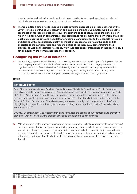voluntary sector and, within the public sector, at those provided for employed, appointed and elected individuals. We are aware that our approach is not comprehensive.

**2.6 The Committee's aim is not to impose a single template approach on all those covered by the Seven Principles of Public Life. However, as a basic minimum the Committee would expect to see induction for those in public life cover the relevant code of conduct and the principles on which it is based, with an explanation of any compliance requirements that derive from that code (such as registering gifts and hospitality, for example), and reference to the channels for raising and dealing with ethical issues. Ideally, an induction process would relate the code and its principles to the particular role and responsibilities of the individual, demonstrating their practical as well as theoretical relevance. We would also expect attendance at induction to be, if not compulsory, the norm rather than the exception.**

### **Recognising the Value of Induction**

**2.7** Unsurprisingly, representatives from the majority of organisations considered as part of this project had an induction programme in place which referenced the relevant code of conduct. Large private sector organisations and professional services firms have rigorous and formal induction programmes which introduce newcomers to the organisation and its values, emphasising that an understanding of and commitment to their code and its principles is core to fulfilling one's role in the organisation.

#### **Box 2**

#### **Goldman Sachs**

One of the recommendations of Goldman Sachs' Business Standards Committee in 2011 to "strengthen reputational excellence and training and professional development" was to "update and strengthen the Code of Business Conduct and Ethics. Through that process, we will signal its importance and articulate the need for every employee to operate in accordance with the code. The firm should reinforce the importance of the Code of Business Conduct and Ethics by requiring employees to certify their compliance with the Code, highlighting it in orientation and training sessions and posting it more prominently on the firm's external and internal websites."32

By 2013, Goldman Sachs was reporting that it had "enhanced the content of our orientation and promotion programs" with an "online training program developed and rolled out to all employees."33

**2.8** Within the public sector organisations reviewed by the Committee, induction arrangements (where present) were not necessarily as clearly geared towards foregrounding ethical conduct, but there was, in general, a recognition of the need to feature the relevant code of conduct and reference ethical principles. In those cases where formal induction was not provided, or was very poorly attended, or principles and codes were not covered, we believe that standards could be at risk and that measures should be taken to mitigate that risk.

<sup>32</sup> Goldman Sachs, *Report of the Business Standards Committee*, January 2011, p. 57

<sup>33</sup> Goldman Sachs, *Business Standards Committee Impact Report*, May 2013, p. 26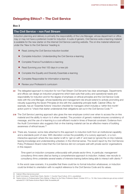## **Delegating Ethics? – The Civil Service**

#### **Box 3**

#### **The Civil Service – non Fast Stream**

Induction planning and delivery is primarily the responsibility of the Line Manager, whose department or office may or may not have a preferred model for induction. A suite of generic, Civil Service-wide e-learning material is available for the new starter on the internal Civil Service Learning website. The on-line material referenced under the 'New to the Civil Service' heading is:

- Read [Joining the Civil Service induction booklet](https://civilservicelearning.civilservice.gov.uk/learning-resources/joining-civil-service)
- Complete [Induction: Understanding the Civil Service](https://civilservicelearning.civilservice.gov.uk/learning-opportunities/elearning/understanding-civil-service) e-learning
- Complete [Finance Foundations](https://civilservicelearning.civilservice.gov.uk/learning-opportunities/finance-foundations-0) e-learning
- Read [Surviving your first 100 days in a new job](https://member.goodpractice.net/csl-competency/Resources/engaging-people/career-management/succeeding-in-a-new-role/sink-or-swim-surviving-the-first-100-days-in-a-new-job.gp)
- Complete the [Equality and Diversity Essentials](https://civilservicelearning.civilservice.gov.uk/learning-opportunities/elearning/equality-and-diversity-essentials) e-learning
- Complete [Responsible for information](https://civilservicelearning.civilservice.gov.uk/learning-opportunities/elearning/responsible-information) e-learning
- Review your [Profession's curriculum](https://civilservicelearning.civilservice.gov.uk/professions-v3)

**2.9** The delegated approach to induction for non-Fast Stream Civil Servants has clear advantages. Departments and offices can design an induction programme which best suits their policy and operational needs and responsibility for induction and for the degree of emphasis on ethical principles and the Civil Service Code rests with the Line Manager, whose leadership and management role should extend to actively promoting and robustly supporting the Seven Principles (in line with the Leadership principle itself). Cabinet Office, for example, has an 'Essential Actions' induction checklist for managers which includes a 'within first month' action point to "check that starter understands their obligations set out in the [Civil Service Code](http://resources.civilservice.gov.uk/wp-content/uploads/2011/09/civil-service-code-2010.pdf)."34

**2.10** The Civil Service Learning approach also gives the new employee control over when to access the on-line material and the ability to return to it when needed. The provision of generic material ensures consistency of message, and the use of e-learning is a cost-efficient model in times of financial constraint. Evidence from the Audit Commission also suggests that on-line training material can be an effective means of building awareness of ethical issues.<sup>35</sup>

**2.11** There are, however, some risks attached to this approach to induction both from an institutional capability and a standards point of view. With discretion comes the possibility of a cursory approach, or a noninteractive approach where the new starter is left to 'get on with it' and read (or ignore) the on-line material, leaving knowledge and understanding untested, in the informal sense. The recent report by the Civil Service Policy Profession Board noted that the Civil Service did not compare well with private sector organisations in this respect:

*Time spent on induction compares unfavourably with private sector firms. In particular, management consultancy firms were cited as having a comprehensive approach to induction. Indeed, new recruits to consultancy firms undertake several weeks of intensive training before being able to interact with clients.*<sup>36</sup>

In the worst case scenario, it is possible that there could be no formal induction whatsoever, or induction could be limited to orientation with no explicit reference to the Civil Service Code and its values.

<sup>34</sup> Cabinet Office internal document

<sup>35</sup> Audit Commission, *Overall Data Charts, Section 1: Counter Fraud Culture*, 2014, unpublished.

<sup>36</sup> *Twelve Actions to Professionalise Policy Making: A Report by the Policy Profession Board*, October 2013, p. 19, [http://www.civilservice.gov.uk/wp-content/](http://www.civilservice.gov.uk/wp-content/uploads/2011/09/Twelve-Actions-Report-Web-Accessible.pdf) uploads/2011/09/Twelve-Actions-Report-Web-Accessible.pdf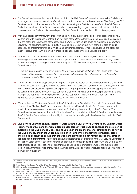- **2.12** The Committee believes that the lack of a direct link to the Civil Service Code on the 'New to the Civil Service' front page is a missed opportunity – after all, this is the first port of call for the new starter. The *Joining the Civil Service induction* online booklet and *Induction: Understanding the Civil Service* do refer to the Civil Service Code, but the full text of the Code is not included in the e-learning programmes, nor is it pointed out that observance of the Code and its values is part of a Civil Servant's terms and conditions of employment.
- **2.13** Within a discretionary framework, then, with no up-front on-line presence as a learning resource for new starters and with references to rather than inclusion of the Code within the on-line material, there is a risk that the detail and importance of the Code and the Civil Service values could be overlooked by new Civil Servants. The apparent gearing of induction material to more junior level new starters is also an issue, especially as greater interchange at middle and senior management levels is encouraged and steps are taken to recruit those with expertise in areas traditionally outside the Civil Service skill set.<sup>37</sup>
- **2.14** As we noted in our report *Ethical Standards for Providers of Public Services*, ethical risks arise "when recruiting those with commercial and financial expertise from outside the civil service in that they need to understand the public facing context in which they work."38 We therefore agree with the First Civil Service Commissioner that

*there is a strong case for better induction for new senior recruits, including in the values of the Civil Service. It is too easy to assume that new recruits will automatically understand and embrace the expectations in the Civil Service Code.*<sup>39</sup>

- **2.15** Moreover, with a "refresh[ed] introduction to [the] Civil Service course to include awareness of the four new priorities for building the capabilities of the Civil Service," namely leading and managing change, commercial skills and behaviours, delivering successful projects and programmes, and redesigning services and delivering them digitally, the Committee considers that there is a risk that the ethical principles that should underpin the approach to these priorities will be lost, especially if the Civil Service Code itself is not highlighted as an essential resource for those joining the Civil Service.<sup>40</sup>
- 2.16 We note that the 2014 Annual Refresh of the Civil Service wide Capabilities Plan calls for a new induction offer for all staff by May 2015, and commends the refreshed 'Introduction to Civil Service' course which now includes awareness of the four new priorities for building the capability of the Civil Service. The Committee is clear, however, that part of the 'business' and 'capability' of the Civil Service is knowledge of the Civil Service Code values and the ability to draw on that knowledge in the day-to-day conduct of Civil Service work.
- **2.17 Civil Service Learning should, therefore, work with the Civil Service Commission, Cabinet Office Propriety and Ethics and the Committee on Standards in Public Life to enhance the provision of material on the Civil Service Code, and its values, in the on-line material offered to those new to the Civil Service, and in the wider induction offer. Further to enhancing the provision, steps should also be taken to ensure that the Code and its values do not remain an optional extra in the induction programme**. At present, although departments are audited by the Civil Service Commission on their inclusion of the Code in their induction programmes through training, in line with the Commission's [best practice checklist of actions](http://civilservicecommission.independent.gov.uk/wp-content/uploads/2012/03/Best Practice Checklist.pdf) for departments to uphold and promote the Code, the audit process restson departmental self-reporting, with no agreed standard as to what constitutes acceptable 'training' on the Code in induction.41

<sup>37</sup> *The Civil Service Reform Plan*[, HM Government, June 2012, http://resources.civilservice.gov.uk/wp-content/uploads/2012/06/Civil-Service-Reform-Plan](http://resources.civilservice.gov.uk/wp-content/uploads/2012/06/Civil-Service-Reform-Plan-acc-final.pdf)acc-final.pdf

<sup>38</sup> Committee on Standards in Public Life, *Ethical Standards for Providers of Public Services*, June 2014, p. 32

<sup>39</sup> Civil Service Commission, *Annual Report and Accounts 2013-14*[, p. 7, http://civilservicecommission.independent.gov.uk/wp-content/uploads/2014/06/](http://civilservicecommission.independent.gov.uk/wp-content/uploads/2014/06/CSC-Annual-Report-201314.pdf) CSC-Annual-Report-201314.pdf

<sup>40</sup> *Meeting the Challenge of Change: A capabilities plan for the Civil Service*[, April 2013, p. 20, https://www.gov.uk/government/uploads/system/uploads/](https://www.gov.uk/government/uploads/system/uploads/attachment_data/file/307250/Civil_Service_Capabilities_Plan_2013.pdf) attachment\_data/file/307250/Civil\_Service\_Capabilities\_Plan\_2013.pdf

<sup>41</sup> See the Civil Service Commission website:<http://civilservicecommission.independent.gov.uk/> The Code audit is a non-statutory activity for the Commission, enabled by section 17 of the Constitutional Reform and Governance Act 2010. In line with the Act, the carrying out of these additional functions is agreed between the Commissioner and the Minister for the Cabinet Office.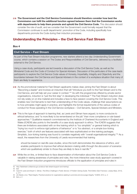**2.18 The Government and the Civil Service Commission should therefore consider how best the Commission can fulfil the additional function agreed between them that the Commission works with departments to help them promote and uphold the Civil Service Code.** This discussion should consider the role of audit, and we consider that the Government could formally request that the Commission continues to audit departments' promotion of the Code, including specifically how departments promote the Code during their induction processes.

## **Understanding the Principles – the Civil Service Fast Stream**

#### **Box 4**

#### **Civil Service – Fast Stream**

As part of the Fast Stream induction programme, new starters attend a two day Understanding Government course, which contains a session on The Duties and Responsibilities of Civil Servants, delivered by a facilitator external to the Civil Service.

Using a case study, participants are led towards a discussion of the Civil Service Code, as well as the Ministerial Code and the Code of Conduct for Special Advisers. Discussion of the particulars of the case leads participants to explore the Civil Service Code values of Honesty, Impartiality, Integrity and Objectivity and the boundaries between the Civil Service and Special Advisers in the context of a workplace situation that many of them are likely to experience.

- 2.19 As the promotional material for Fast Stream applicants makes clear, joining the Fast Stream is about "Becoming a leader" and involves an induction that will "introduce you both to the Fast Stream and to the Civil Service, and will help set your career in context."42 As with the programmes offered by private sector organisations, induction is "just the first step" in developing the individual.43 The Fast Stream induction does not rely solely on on-line material and includes a face-to-face session covering the Civil Service Code. This enables new Civil Servants to test their understanding of the Code values, challenge their assumptions as to how principles might apply in practice, and highlights the formal requirements of the various codes of conduct for those operating in the Civil Service workplace – Civil Servants, Special Advisers and Ministers.
- **2.20** This is the type of approach to learning that, as Lewis and Gilman have argued, is more conducive to ethical behaviour, and "is more likely to be remembered on the job" than more compliance or rule-based approaches.44 Qualitative research commissioned by the Institute of Chartered Accountants in England and Wales (ICAEW) also points to the benefits of a case study approach to ethics. The ICAEW suggests that there are limitations associated with on-line training which is "too simplistic" or general training which is "trying too much to enforce rigid patterns of behaviour" or is "too abstract, or a simple box-ticking exercise," both of which are features associated with less sophisticated on-line training packages. Simplistic, box-ticking training was found to correlate negatively with "overall organisational integrity."<sup>45</sup> As a result, the researchers from the University of Leeds recommended that training

*should be based on real-life case studies, since this both demonstrates the relevance of ethics, and enables participants to improve their ethical decision-making skills through the discussion of scenarios which are qualitatively similar to those they are likely to face in real life.*<sup>46</sup>

**2.21** While the on-line, or limited face-to-face dissemination of information about the Civil Service Code is valuable in raising awareness of principles and rules, the more interactive case-study approach covered in the Fast Stream induction programme introduces officials to the application of principles and rules in

45 Jim Baxter, et al, "Real Integrity: Practical solutions for organizations seeking to promote and encourage integrity," ICAEW, 2012, p. 2

46 Ibid, p. 2

<sup>42</sup> <http://faststream.civilservice.gov.uk/about-fast-stream/support-and-training/>

<sup>43</sup> Ibid

<sup>44</sup> Carol W. Lewis and Stuart C. Gilman, *The Ethics Challenge in Public Service: A Problem Solving Guide*, Third Edition (San Francisco: Jossey-Bass, 2012), p. 211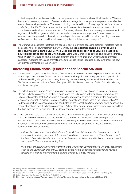context – a practice that is more likely to have a greater impact in embedding ethical standards. We noted the value of case-study material in *Standards Matters*, alongside contemporaneous prompts, as effective means of embedding standards. The research findings published in our *Survey of public attitudes towards conduct in public life 2012* also show that the public values interactive and personalised means of promoting understanding of ethical standards. Our survey showed that there was very wide agreement in all segments of the British general public that the methods seen as most important for ensuring good standards are: the promotion of a culture in which people are not afraid to report wrongdoing; training of staff on a code of conduct; and the setting of a good example by senior managers.<sup>47</sup>

**2.22** The Committee recognises that there are issues of cost in providing access to externally facilitated face-toface sessions for all new starters in the Civil Service, but **consideration should be given to using case-study material on the Civil Service Code and the application of its values in practice in induction packages across the Civil Service**. Using Line Managers to develop and deliver the material with new starters would also have the added benefit of reinforcing their own understanding of ethical standards, modelling ethics and promoting the Civil Service values – required behaviours under the new Civil Service Competency Framework.48

## **Increasing Effectiveness (i): Induction for Special Advisers**

- **2.23** The induction programme for Fast Stream Civil Servants addresses the need to prepare these individuals for working at the centre of Government in the future, advising Ministers on key policy and operational decisions. Working alongside them during those key decision-making moments will be Special Advisers: Civil Servants also bound by the Seven Principles of Public Life with their own Code of Conduct deriving from those principles.
- **2.24** The extent to which Special Advisers are actively prepared for their role, through a formal, or even an informal, induction process, is variable. In evidence to the Public Administration Select Committee, the Cabinet Office stated that the "induction process for new special advisers is shared by the appointing Minister, the relevant Permanent Secretary and the Propriety and Ethics Team in the Cabinet Office."<sup>49</sup> Evidence submitted to a research project conducted by the Constitution Unit, however, casts doubt on the impact of past and recent induction processes – "Many of the special advisers interviewed complained that they had received no training and little guidance, especially when they started."50
- **2.25** There have been calls on a number of fronts for a more professional approach to the induction and training of Special Advisers in order to provide them with a collective and individual understanding of their responsibilities in post – responsibilities which we would argue are both ethical and practical. Nick Hillman, a Special Adviser under the Coalition Government, for example, has argued in favour of an early, concentrated induction process:

*If all special advisers had been whisked away to the School of Government at Sunningdale for the first weekend after entering government, the impact could have been profound [...] We could have heard first-hand about administration from past special advisers, ministers and officials and been told what the rest of the Civil Service was expecting from us.*

*The School of Government no longer exists but the Institute for Government or a university department (such as the Constitution Unit of UCL) could be contracted to undertake induction for new special advisers on a change of government, a general election or a major reshuffle.*<sup>51</sup>

<sup>47</sup> *Survey of public attitudes towards conduct in public life 2012* (London: Committee on Standards in Public Life, 2013)

<sup>48</sup> <http://resources.civilservice.gov.uk/wp-content/uploads/2011/05/Civil-Service-Competency-Framework-Jan2013.pdf>

<sup>49</sup> *Special advisers in the thick of it, Sixth Report of the House of Commons Public Administration Select Committee*, HC134 (2012-13), p. 15 50 *Being a Special Adviser* (London: The Constitution Unit, 2014), p.4

<sup>51</sup> Nick Hillman, *In Defence of Special Advisers: Lessons from Personal Experience* (London: Institute for Government, 2014), pp. 27-8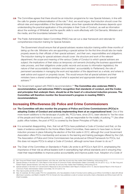- **2.26** The Committee agrees that there should be an induction programme for new Special Advisers, in line with the calls for greater professionalisation of the role.<sup>52</sup> And, we would argue, that induction should cover the ethical roles and responsibilities of the Special Adviser, since their operational effectiveness depends upon understanding the practical application of the principles in their Code of Conduct, as well as information about the workings of Whitehall, and the specific skills to work effectively with Civil Servants, Ministers and the media, and the boundaries between them.
- **2.27** The Public Administration Select Committee (PASC) has set out a clear framework and rationale for comprehensive induction training for Special Advisers:

*The Government should ensure that all special advisers receive induction training within three months of taking up the role. Ministers who are appointing a special adviser for the first time should also be made properly aware by their officials of their special advisers', and their own, responsibilities and obligations. The induction training for special advisers should cover: the structure and work of the relevant department; the scope and meaning of the various Codes of Conduct to which special advisers are subject; the implications of their status as temporary civil servants (including the business appointment rules process, and their obligations under public records and access to information legislation); the nature of their accountability to ministers (and ministers' accountability to Parliament); the role of permanent secretaries in managing the work and reputation of the department as a whole; and where to seek advice and support on propriety issues. This would ensure that all special advisers and their ministers have a shared understanding of what is expected and appropriate behaviour for special advisers.*<sup>53</sup>

**2.28** The Government agreed with PASC's recommendation.54 **The Committee also endorses PASC's recommendation, and welcomes PASC's recognition that standards of conduct, and the Codes and principles that underpin them, should be at the heart of a structured induction process. The Committee will therefore monitor the Government's progress in meeting PASC's recommendations**.

## **Increasing Effectiveness (ii): Police and Crime Commissioners**

- **2.29 The Committee will also monitor the progress of Police and Crime Commissioners (PCCs) in adopting Codes of Conduct and actively implementing them at an organisational level**. One of the more recent additions to the landscape of public life, PCCs have, since 2012, been elected to "be the voice of the people and hold the police to account [… and] are responsible for the totality of policing."55 Like other public office holders, the post of PCC is covered by the Seven Principles of Public Life.
- **2.30** It is somewhat disappointing, then, that not all PCCs have published a Code of Conduct and that, on the basis of evidence submitted to the Home Affairs Select Committee, there seems to have been no formal induction process in place following the election of the first cadre in 2012, although the Local Government Association offers PCCs membership and access to the learning and training packages offered by the LGA. The Association of Police and Crime Commissioners has produced an Ethical Framework for PCCs, but this does not require PCCs to adopt a Code of Conduct, although some have chosen to do so.56
- **2.31** The Chair of the Committee on Standards in Public Life wrote to all PCCs in April 2014, emphasising the importance of their role as ethical leaders both in exemplifying high ethical standards and in ensuring they meet their responsibilities to improve police accountability and improve public trust. Adoption of a Code of

<sup>52</sup> Ben Yong and Robert Hazell, *Special Advisers: who they are, what they do and why they matter* (Hart Publishing, forthcoming 2014)

<sup>53</sup> *Special advisers in the thick of it, Sixth Report of the House of Commons Public Administration Select Committee*, HC134 (2012-13), p. 16. Ben Yong and Robert Hazell, *Special Advisers: who they are, what they do and why they matter* (Hart Publishing, forthcoming 2014)

<sup>54</sup> *Special advisers in the thick of it: Government's Response to the Committee's Sixth Report of Session 2012-13, Second Special Report of the House of Commons Public Administration Select Committee*, HC 515 (2013-14)

<sup>55</sup> <http://apccs.police.uk/role-of-the-pcc/>

<sup>56</sup> See, for example, Sir Clive Loader, PCC for Leicestershire, who has adopted a Code of Conduct and is setting up an Ethics Committee to deal with ethical dilemmas in practice, and Martin Underhill, PCC for Dorset who has published a code of conduct and jointly chairs a Standards and Ethics board with his Chief Constable.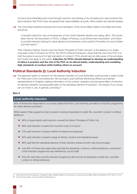Conduct and embedding that Code through induction and training on its principles and rules would be the best indication that PCCs have recognised their responsibilities as public office holders and elected leaders.

**2.32** The Committee therefore endorses the recommendation of the Home Affairs Select Committee that there should be

*a transition period for new commissioners of one month between election and taking office. This would allow time for the Association of PCCs, College of Policing, Local Government Association, and others to provide intensive training for newly elected commissioners, and a period of transition for post-holders and their teams.*<sup>57</sup>

That 'intensive training' should cover the Seven Principles of Public Life and, in the absence of a single corporate Code of Conduct for PCCs, the APCC's Ethical Framework. Given that the role of the PCC is to hold the police to account for high standards of conduct, PCCs should also be fully aware of the principles and Codes that apply to the police. **Induction for PCCs should attempt to develop an understanding of ethics in practice and the role of the PCC as an ethical leader, understanding and modelling high standards of conduct while holding others to account**.

## **Political Standards (i): Local Authority Induction**

**2.33** The approach taken to induction for the elected members of Local Authorities could provide a useful model for Police and Crime Commissioners. We surveyed Local Authority Monitoring Officers and elected representatives in England, seeking information on the content, reception and perceived effect of induction for elected members, focusing particularly on the standards element of induction. The results of our survey, set out in Box 5, are, in general, promising.<sup>58</sup>

#### **Box 5**

#### **Local authority induction**

90% of those who responded to our survey stated that their Local Authority provided an induction programme for newly elected councillors.

When asked if that programme had a session looking at standards in public life, councillor conduct or ethical behaviour:

- 68% of respondents said induction covered the Seven Principles of Public Life
- 88% said induction covered the Council's Code of Conduct
- 73% said induction covered conflicts of interest and expenses
- 55% said induction covered a range of ethical, conduct and standards issues
- 88% said that the standards element of their induction looked at both rules and principles
- over 80% of those who responded said that the standards, conduct or ethical behaviour component of the induction programme was delivered by council staff
- Only 5% said their council's induction programme did not look at standards in public life, councillor conduct or ethical behaviour.

<sup>57</sup> *Police and Crime Commissioners: Progress to Date, Sixteenth Report of the House of Commons Home Affairs Select Committee*, HC757 (2013-14), p.6 58 For full survey results, visit [www.public-standards.gov.uk](http://www.public-standards.gov.uk)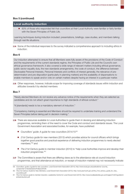#### **Box 5 (***continued***)**

#### **Local authority induction**

■ 83% of those who responded felt that councillors at their Local Authority were familiar or fairly familiar with the Seven Principles of Public Life.

Learning techniques during induction included: presentations, briefings, case studies, and members talking through real life situations.

**2.34** Some of the individual responses to the survey indicated a comprehensive approach to including ethics in induction:

#### **Box 6**

Our induction attempted to ensure that all Members were fully aware of the provisions of the Code of Conduct and the requirements of the current standards regime, the Principles of Public Life and the Council's own ethical governance framework; it also covered a wide range of relevant matters including ethical governance, public sector equality duty, the new standards arrangements, the code of conduct, the difference between Disclosable Personal Interests, Personal Interests and conflicts of interest generally, the relevance of predetermination and pre-disposition (particularly in planning matters) and the availability of dispensations to enable members to speak and/or vote on certain matters despite having an interest in a particular matter.

**2.35** Other responses, however, indicate scope for improving coverage of standards issues within induction and attitudes towards it by elected members:

#### **Box 7**

"Newly elected Members do not receive any advance notice of the requirements when they are selected as candidates and do not attach great importance to high standards of ethical conduct."

"It [standards] needs to be a mandatory element of induction."

"Competency training is essential and Members should be required to undertake training and understand the Seven Principles before taking part in decision making."

- **2.36** There are resources available to Local Authorities to guide them in devising and delivering induction programmes, reminding them of the need to cover the Code and conduct and standards issues. The Local Government Association and associated bodies, for example, have published:
	- *Councillors' guide*: A guide for new councillors 2014/15<sup>;59</sup>
	- *21st Century guide for new members* (2013) which provides advice for council officers which brings together good practice and practical experience of delivering induction programmes to newly elected members;"60 and
	- *The 21st Century guide to member induction* (2010) to "help Local Authorities improve and develop their induction programmes."61
- **2.37** The Committee is aware that there are differing views as to the attendance rate at council induction programmes, and that attendance at induction, or receipt of induction material may not necessarily indicate

<sup>59</sup> *Councillors' guide: A guide for new councilors*, Local Government Association [\(2014\), http://www.local.gov.uk/publications/-/journal\\_](http://www.local.gov.uk/publications/-/journal_content/56/10180/6202054/PUBLICATION) content/56/10180/6202054/PUBLICATION

<sup>60</sup> *[The 21st Century Guide for New Members, Local Government Association](http://www.plymouth.gov.uk/the_21st_century_guide_for_new_councillors.pdf)* (2013), http://www.plymouth.gov.uk/the\_21st\_century\_guide\_for\_new\_ councillors.pdf

<sup>61</sup> *The 21st Century guide to member induction,* Leadership Centre for Local Government [\(2010\), http://www.localleadership.gov.uk/images/21stCCguidetom](http://www.localleadership.gov.uk/images/21stCCguidetomemberinduction.pdf) emberinduction.pdf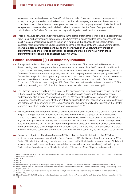awareness or understanding of the Seven Principles or a code of conduct. However, the responses to our survey, the range of materials provided on local councillor induction programmes, and the evidence on council websites on the review and development of their own induction programmes indicate that induction as a process is taken relatively seriously by Local Authorities and that the Seven Principles and the individual council's Code of Conduct are relatively well-integrated into induction processes.

**2.38** There is, however, always room for improvement in the profile of standards, conduct and ethical behaviour within Local Authority induction programmes. The Committee is concerned that financial constraints may result in less emphasis being placed on induction in future and that changes to the Local Authority standards regime may result in ethical standards becoming less of a priority and less actively monitored. **The Committee will therefore continue to monitor provision of Local Authority induction programmes and the profile of standards, conduct and ethical behaviour within those programmes by repeating its snapshot survey in 2015**.

### **Political Standards (ii): Parliamentary Induction**

- **2.39** Surveys and studies of the induction arrangements for Members of Parliament tell a different story from those covering their counterparts in Local Government. In its review of the 2010 orientation and induction programme for new MPs, the Hansard Society reported that, beyond the initial briefing meeting held in the Commons Chamber (which was whipped), the main induction programme itself was poorly attended.<sup>62</sup> Despite the care put into devising the programme, its spread over a period of time, and the involvement of external parties like the Hansard Society, the Institute for Government and the London School of Economics, "officials estimated that just 19% of new Members had attended at least one session."63 The workshop on dealing with difficult ethical dilemmas was cancelled due to poor take up.<sup>64</sup>
- **2.40** The Hansard Society noted timing as a factor for the disengagement with the induction session on ethics, but also noted that "Members' understanding of and willingness to engage with the broader ethical landscape was also a factor."<sup>65</sup> More recently, the Lay Members of the House of Commons Standards Committee reported the low level of take-up of training on standards and registration requirements for new and established MPs, delivered by the Commissioner and Registrar, as well as the justification that Elected Members were often "too busy to spend much time on standards."<sup>66</sup>
- **2.41** Individual Members of Parliament have also talked about information overload and a desire to 'get on with the job' of being a Member of Parliament preventing them from active engagement with the induction programme beyond the initial orientation sessions. Some have also expressed an in principle objection to anything that approximates 'training' and is associated with those in the executive.<sup>67</sup> Another response to calls for induction and training for politicians, leaving aside the question of whether induction should cover ethics and standards, is that being a Member of Parliament is not a 'job' and not a 'profession' and that therefore individuals cannot be 'trained' for it, or at least not in the same way as individuals in other fields.<sup>68</sup>
- **2.42** One of the obligations of holding office as an MP is to observe the ethical standards that MPs have conferred upon themselves, including the Seven Principles of Public Life and the rules set out in the MPs' Code of Conduct. And although there is a common view that "ethical standards were assumed," this is not a safe assumption to make, as the continuing list of cases (both minor and significant) dealt with by the Parliamentary Commissioner for Standards indicates.<sup>69</sup> Indeed, as Mark Philp's submission to the

<sup>62</sup> Ruth Fox and Matt Korris, "A Fresh Start? The Orientation and Induction of New MPs at Westminster Following the 2010 General Election," *Parliamentary Affairs*, 65(2012), 559-575.

<sup>63</sup> Ibid, p. 567

<sup>64</sup> Ibid, p. 571

<sup>65</sup> Ibid, p. 571

<sup>66</sup> *Reflections of the Lay Members on the first year in post January 2013 – January 2014*, House of Commons Committee on Standards, 2014, p. 11.

<sup>67</sup> Katrin Steinack, "Between Apathy and Enthusiasm: A International Comparison of MPs' Attitudes Towards Parliamentary Training," *Parliamentary Affairs*, 65(2012), 541-558

<sup>68</sup> Ibid, and Colleen Lewis, "Barriers to Prioritising Education and Training for Parliamentarians: Role Complexity and the Media," *Parliamentary Affairs*, 65(2012), 699-714.

<sup>69</sup> Michael Rush and Philip Giddings, *Parliamentary Socialisation: Learning the Ropes or Determining Behaviour?* (Basingstoke: Palgrave Macmillan, 2011), p 119,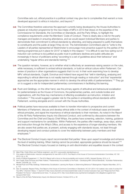Committee sets out, ethical practice in a political context may give rise to complexities that warrant a more developed approach to ethics in induction, and beyond.70

- **2.43** The Committee therefore welcomes the approach currently being developed by the House Authorities to prepare an induction programme for the new intake of MPs in 2015 that draws on the expertise of the Commissioner for Standards, the Committee on Standards, and the Party Whips, to highlight the compliance requirements under the Members' Code of Conduct. There is clearly also a role for the party managers and leaders in ensuring attendance, and we would expect individual Members and parties to demonstrate their commitment to ethical standards by attending, and being prepared to justify themselves to constituents and the public at large if they do not. The Administration Committee's plan to "write to the Leaders of all parties represented at Westminster to encourage more proactive support by the parties of the training programmes put in place for 2015" is helpful in this respect.<sup>71</sup> It is difficult to see how opting out of induction can continue to be justified as public trust in politicians declines and public attitudes are increasingly in favour of politicians acting "according to a set of guidelines about their behaviour" and undertaking "regular ethics and standards training."72
- **2.44** The question remains, however, as to whether what is effectively an awareness-raising session on the rules, while necessary, is sufficient to embed ethical standards, or build an ethical culture within Parliament. Our review of practice in other organisations suggests that it is not. In their work examining how to develop MPs' ethical standards, Coghill, Donohue and Holland have argued that "skill in identifying, analysing and responding to ethical dilemmas is not readily learned through reading or instruction" and that "experiential approaches are the appropriate manner in which to develop the ethical skills of parliamentarians."73 They go on to suggest a role for independent parliamentary commissioners in facilitating this learning.
- **2.45** Rush and Giddings, on the other hand, see the primary agents of attitudinal and behavioural socialisation for parliamentarians as the House of Commons, the parliamentary parties, and outside bodies and organisations, with the three key mechanisms of effecting socialisation as instruction, imitation and motivation.74 This would suggest a greater role for the parties in embedding ethical standards within Parliament, working alongside and in concert with the House Authorities.
- **2.46** Political parties have resources available to them to transfer information to prospective and current Members of Parliament, discuss and develop ethical skills in the context of individual cases and broader ethical principles, and signal the importance of ethical standards to their members. As noted in the *Report of the All-Party Parliamentary Inquiry into Electoral Conduct*, and confirmed by discussions between the Committee and the Chief and Deputy Chief Whips, the parties have screening, selection, training, guidance and support mechanisms for candidates. Within Parliament, the parties offer meetings, away-days, advice and instruction through the Whip's Office, and access to the experience of longer-standing members. We are also aware that parties are, at present, actively engaging with standards issues, not least through developing respect and conduct policies to cover the relationship between party members and their employees.<sup>75</sup>
- 2.47 The Electoral Conduct inquiry report recommended that parties "draw upon expert knowledge and enhance the level of existing training. When training cannot be provided, appropriate guidance should be issued."76 The Electoral Conduct inquiry focused on training on anti-discrimination and equalities issues in the context

<sup>70</sup> Mark Philp, *Public Ethics and Political Judgment*, July 2014, [www.public-standards.gov.uk](http://www.public-standards.gov.uk)

<sup>71</sup> *First weeks at Westminster: induction arrangements for new MPs in 2015*, First Report of the House of Commons Administration Committee, HC 193 (2013-14), p. 28.

<sup>72</sup> *Audit of Political Engagement 11: The 2014 Report with a focus on the accountability and conduct of MPs*, Hansard Society, 2014, p. 6

<sup>73</sup> Ken Coghill, Ross Donohue and Peter Holland, "Parliamentary Accountability to the Public – Developing MPs' Ethical Standards," *Australian Parliamentary Review*, 23(2008), pp. 115-6

<sup>74</sup> Michael Rush and Philip Giddings, *Parliamentary Socialisation: Learning the Ropes or Determining Behaviour?* (Basingstoke: Palgrave Macmillan, 2011), p. 175

<sup>75</sup> See, for example: *Respect Policy, First Report of the House of Commons Committee on Standards*, HC 321 (2014-15);"Leaked: new code of conduct for Tory MPs," Channel 4 News, 11 April 2014<http://www.channel4.com/news/westminster-code-of-conduct-exclusive-mps>; and "Response from Party President Tim Farron," *Liberal Democrat Voice*[, 15 January 2014, http://www.libdemvoice.org/internal-investigation-into-allegations-against-lord](http://www.libdemvoice.org/internal-investigation-into-allegations-against-lord-rennard-37847.html)rennard-37847.html

<sup>76</sup> *Report of the All-Party Parliamentary Inquiry into Electoral Conduct*, October 2013, p. 48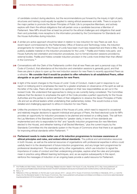of candidate conduct during elections, but the recommendations put forward by the inquiry in light of party structures and training could equally be applied to raising ethical awareness and skills. There is scope for the major parties to promote the Seven Principles of Public Life to prospective Members, and actively explore with them the ethical obligations that will pertain once a candidate becomes a Member of Parliament. New MPs should then at least be primed for the ethical challenges and obligations that await them and potentially more receptive to the information provided by the Commissioner for Standards and the House Authorities during induction.

- **2.48** A similar pro-active approach should be taken in relation to new induction for new Peers as well. As a recent report commissioned by the Parliamentary Office of Science and Technology notes, the induction arrangements for members of the House of Lords have been much less researched and there is little, if any, publicly available material on the induction procedures for the Lords.77 Padilla and Hobbs note party- and House Authority-led orientation and induction procedures, but no formal induction sessions provided by external bodies. Padilla and Hobbs consider induction provision in the Lords more limited than that offered in the Commons<sup>78</sup>
- **2.49** Conversations with the Clerk of the Parliaments confirm that all new Peers are sent a personal copy of the Code of Conduct, that attendance at the induction and orientation sessions is generally good, and that there are plans in place to open up the next induction session for new Peers to recently appointed Peers as a refresher. **We consider that it would be prudent to offer refreshers to all established Peers, either alongside or as part of induction sessions for new Peers**.
- **2.50** In light of the recent changes to the House of Lords' Code of Conduct, made in part in response to our report on lobbying and to emphasise the need for a greater emphasis on observance of the spirit as well as the letter of the rules, Peers will also need to be updated on their new responsibilities as set out in the revised Code. We understand that approaches to doing so are currently being considered. The Committee believes that the decision to emphasise the spirit of the Code provides a perfect opportunity for the House Authorities and the parties to remind all Peers of their obligations to observe the Seven Principles of Public Life and act as ethical leaders whilst undertaking their parliamentary duties. This would involve a more detailed and challenging approach to ethics in induction for new Peers.
- **2.51** Unlike the provisions for inducting members of the House of Lords, which need to respond to occasional and relatively irregular decisions to appoint individual and groups of Peers, the fixed electoral cycle for MPs provides an opportunity for induction processes to be planned and revised on a rolling basis. The call from the Lay Members of the Standards Committee for "greater clarity, in terms of how standards are implemented and who is responsible for this" and "specific induction programmes (for new Members elected to the House), and refresher training of all Elected Members," plus the current inquiry by the Standards Committee into the standards system in the House of Commons show that there is an appetite for improving ethical standards within Parliament. 79
- **2.52 Parliament needs to make better use of its induction programmes to increase awareness of ethical principles and rules, and embed ethical standards**. The political and administrative resources in both Houses, as well as the external resources of organisations with professional expertise in ethics could usefully feed in to the development of future induction programmes, and any longer term programmes for professional development. The examples set by other organisations, which use induction to signal the importance of codes of conduct and their underpinning principles, explore what the rules and principles mean in practice using different learning techniques, and, as we explore subsequently in this report, reinforce the messages of induction on an ongoing basis provide a useful resource for Parliament.

<sup>77</sup> Ana Padilla and Abbi Hobbs, *Science and Technology Related Induction Needs in the House of Lords*, November 2013, http://www.parliament.uk/ [documents/post/Padilla%20and%20Hobbs%202013%20ST%20related%20induction%20needs%20in%20the%20HoL%20Full%20report.pdf](http://www.parliament.uk/documents/post/Padilla%20and%20Hobbs%202013%20ST%20related%20induction%20needs%20in%20the%20HoL%20Full%20report.pdf)

<sup>78</sup> Ibid, p. 12

<sup>79</sup> *Reflections of the Lay Members on the first year in post January 2013 – January 2014,* House of Commons Committee on Standards, 2014, p. 2 and the [Inquiry into the Standards System in the House of Commons, http://www.parliament.uk/business/committees/committees-a-z/commons-select/standards/](http://www.parliament.uk/business/committees/committees-a-z/commons-select/standards/inquiries/parliament-2010/complaints-about-members-of-parliament/) inquiries/parliament-2010/complaints-about-members-of-parliament/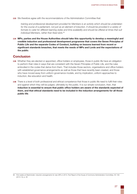**2.53** We therefore agree with the recommendations of the Administration Committee that:

*training and professional development provided for Members is an activity which should be undertaken*  for the course of a parliament, not just as an element of induction. It should be provided in a variety of formats to cater for different learning styles and time availability and should be offered at times that suit *individual Members, rather than fixed slots.*<sup>80</sup>

**2.54 MPs, parties and the House Authorities should take this opportunity to develop a meaningful and credible induction and professional development programme that covers the Seven Principles of Public Life and the separate Codes of Conduct, building on lessons learned from recent or significant standards breaches, that meets the needs of MPs and Lords and the expectations of the public**.

## **Conclusion**

- **2.55** Whether they are elected or appointed, office holders or employees, those in public life have an obligation to perform their roles in ways that are consistent with the Seven Principles of Public Life, and the rules embodied in the codes that derive from them. That includes those sectors, organisations and office holders with established governance arrangements as well as those that have recently been created, and those who have moved away from uniform governance models, and by implication, uniform approaches to induction, like education and health.
- **2.56** There is a level of both professional and ethical competence that those in public life need to fulfil their roles and against which they will be judged, ultimately by the public. It is our simple conclusion, then, that **induction is essential to ensure that public office holders are aware of the standards expected of them, and that ethical standards need to be included in the induction arrangements for all those public life**.

<sup>80</sup> *First weeks at Westminster: induction arrangements for new MPs in 2015*, First Report of the House of Commons Administration Committee, HC 193 (2013-14), p. 26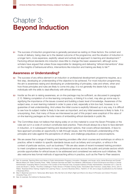## <span id="page-25-0"></span>Chapter 3: **Beyond Induction**

**3.1** The success of induction programmes is generally perceived as resting on three factors: the content and mode of delivery; being clear as to the desired outcome of the programme; and the situation of induction in a longer term, more expansive, explicitly valued and actively led approach to learning and development.<sup>81</sup> Factoring ethical standards into induction does little to change this basic assessment, although some scholars have argued that unless those responsible for designing and delivering "ethical interventions" draw on the insights of behavioural ethics, interventions like induction and training are likely to fail.<sup>82</sup>

#### **Awareness or Understanding?**

- **3.2** The success of any ethics element in an induction or professional development programme requires, as a first step, developing an understanding of the objective to be achieved. For most induction programmes, the aim is awareness raising and developing an understanding of principles, rules and where, when and how those principles and rules are likely to come into play; it is not generally the desire fully to equip individuals with the skills to deal effectively with ethical dilemmas.
- **3.3** Insofar as the aim is raising awareness, an on-line package may be sufficient, as discussed in paragraph 2.10. Making completion of on-line learning compulsory, or linking it to a test, may also go some way to signifying the importance of the issues covered and building a basic level of knowledge. Awareness of the subject area, or even learning material in order to pass a test, especially a tick-box test, however, is no guarantee of real understanding. And unless the initial course is explicitly followed up in any way, it is difficult to see how its subject matter is likely to be seen as important, and any initial awareness is likely to fade. It is unsurprising, then, that many of those we interviewed as part of this project were sceptical of the value of on-line learning packages as the sole means of embedding ethical standards in public life.
- **3.4** The Committee does not believe that relying solely on on-line material to cover the Seven Principles or the rules set out in a code of conduct constitutes best practice. There should always be a face-to-face element in induction, or in subsequent training and development options, that covers ethical standards. A face-toface approach provides an opportunity to talk through issues, test the individual's understanding of the principles and rules against the perceptions of others, and challenge prejudices or preconceptions.
- **3.5** We are aware that a range of training and learning providers offer short courses and workshops on ethics in practice, either in relation to specific standards issues such as bribery and corruption, or ethics in the context of particular sectors, such as business.<sup>83</sup> We are also aware of recent increased training provision to meet compliance requirements in many professional services across the public and private sectors which provide opportunities for ethical issues to be addressed and considered we welcome such initiatives. We also welcome less formal methods of approaching ethics in practice, such as the Peer-to-Peer sessions

<sup>81</sup> See, for example: *Teaching Ethics and Values in Public Administration Programs: Innovation, Strategies, and Issues*, ed.by James Bowman and Donald Menzel (Albany NY: State University Press, 1998); Christoph Demmke and SNE Timo Moilanen, *Effectiveness of Good Governance and Ethics in Central Administration: Evaluating Reform Outcomes in the Context of the Financial Crisis*, European Institute of Public Administration, December 2011; Carol W. Lewis and Stuart C. Gilman, *The Ethics Challenge in Public Service: A Problem Solving Guide*, Third Edition (San Francisco: Jossey-Bass, 2012); John A. Weber, "Business Ethics Training: Insights from Learning Theory," *Journal of Business Ethics*, 70(2007), 61-85; and a range of publications by the Institute of Business Ethics.

<sup>82</sup> Max H. Bazerman and Ann E. Tenbrunsel, *Blind Spots: Why We Fail to Do What's Right and What to Do About It* (Princeton and Oxford: Princeton University Press, 2011

<sup>83</sup> See, for example, the Institute for Business Ethics.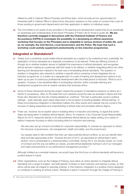offered by staff in Cabinet Office's Propriety and Ethics team, which provide ad hoc opportunities for interested staff in Cabinet Office to attend short discussion sessions on the codes of conduct that cover all those working in government departments and their application in relation to individual cases.

**3.6** The Committee is not aware of any providers in the learning and development market that focus specifically on awareness and understanding of the Seven Principles of Public Life for those in public life. **We are therefore currently engaged in discussions with the Chartered Institute of Finance and Accountancy (CIPFA) to investigate the possibility of a developing an ethical awareness workshop that focuses on the Principles and is adaptable to various sections of public life, such as, for example, the Civil Service, Local Government, and the Police. We hope that such a workshop could usefully supplement predominantly on-line induction programmes.**

## **Integrated or Standalone?**

- **3.7** Clearly such a workshop would isolate ethical standards as a subject to be understood and, potentially, the application of those standards as a separate competency to be learned. There are differing schools of thought as to whether isolation serves to highlight the importance of ethical standards, and recognises ethical decision-making as a particular skill that needs to be refined, or whether integrating ethics into other learning and development material is the best way of embedding ethical standards. The question of isolation or integration also extends to whether a specific ethics workshop is best integrated into an induction programme, or is better as a separate part of a suite of training and development options to be taken up as part of continuous professional development after the initial period of induction. What is not in question, however, is the beneficial effect of embedding induction within a broader learning and development programme and an explicit narrative that endorses ethics.
- **3.8** Some of those interviewed during this project viewed the prospect of standalone sessions on ethics as a barrier to acceptance, often on the basis that such sessions would be seen as remedial in nature and that those who attended ran the risk of being labelled as 'unethical.' This fear is particularly acute in political settings – quite rationally, given press responses to the prospect of anything labelled 'ethical training.' In these circumstances integration of standards matters into other events and material may be crucial to the success of raising awareness and understanding of ethical rules and principles without stigma.
- **3.9** There can, however, be an explicit value in isolating ethics in induction and training, to signal that active steps are being taken to address ethical failures. Serco, for instance, in its *Corporate Social Responsibility Report* for 2013, responds directly to its well-publicised ethical failures by clearly setting out a series of distinct measures focusing on ethics (including ethics in induction and training):

*We have also set up a board committee for corporate responsibility, to oversee our approach to ethics, the structure of governance, risk management, health and safety, and the environment.*

*Our people need to feel confident that they can raise potential ethical conflicts, so we can identify them early and take appropriate action. Towards the end of 2013, we appointed an ethical lead in each division, who is answerable to a divisional ethics committee. During 2014, we will also review our Code of Conduct and the way we define our values, provide ethical leadership training to all of our managers and make improvements to our performance management process.*<sup>84</sup>

Although initiated as a remedial measure, we would hope that this focus on ethical standards will become a positive feature in future.

**3.10** Other organisations, such as the College of Policing, have taken an active decision to integrate ethical standards into a range of subject- and skill-specific modules on their induction and training courses, so that ethics will be seen as integral to everyday policing. In this instance, integration is a positive choice designed to contribute to building an ethical culture. Whatever is learnt in induction through the College of Policing is

<sup>84</sup> <http://www.cr2013-serco.com/Commitment.html>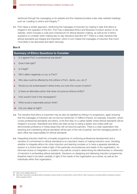reinforced through the messaging on its website and the material provided under clear website headings such as 'Leading on ethics and integrity.'85

**3.11** PwC takes a similar approach, reinforcing the messages of induction by making it clear that ethics is integral to the operation of the firm. PwC has a dedicated Ethics and Business Conduct section on its website, which includes a code and a framework for ethical decision making, as well as list of ethics questions to consider when making day-to-day decisions (see Box 8).<sup>86</sup> There is a clear narrative that ethical standards are integral and important, which in turn makes the messages of induction that much more likely to be absorbed and taken seriously.

#### **Box 8**

#### **Summary of Ethics Questions to Consider**

- **1.** Is it against PwC or professional standards?
- **2.** Does it feel right?
- **3.** Is it legal?
- **4.** Will it reflect negatively on you or PwC?
- **5.** Who else could be affected by this (others in PwC, clients, you, etc.)?
- **6.** Would you be embarrassed if others knew you took this course of action?
- **7.** Is there an alternative action that does not pose an ethical conflict?
- **8.** How would it look in the newspapers?
- **9.** What would a reasonable person think?
- **10.** Can you sleep at night?
- **3.12** The narrative that ethics is important may be also be signified by linking it to progression, again ensuring that the messages of induction are not lost but reinforced. In Clifford Chance, for example, induction, which covers professional standards and ethics, is the first step on a career ladder where ethical standards will be integral to success. Standards and ethics are seen as key to being a leader, and unless staff can demonstrate proficiency in these areas they will not become partners. There is a clear expectation that teaching and maintaining ethical standards will be part of the role of partner, and the managing partner of each office has responsibility for ethical standards.
- **3.13** Integrating induction itself into a broader programme of continuing professional development and a narrative of commitment to ethical standards is an important means of making induction work. Deciding whether to integrate ethics into other induction and learning modules or to have a separate standalone session is a choice best made in light of the particular circumstances and needs of the organisation. An informed choice on integration or isolation may well be crucial in determining the effectiveness or otherwise of induction in embedding ethical standards. Decisions on designing and delivering induction programmes therefore need to be taken carefully, in light of the needs of the organisation as a whole, as well as the individuals within that organisation.

<sup>85</sup> <http://www.college.police.uk/>

<sup>86</sup> See [http://www.pwc.com/gx/en/ethics-business-conduct/code-of-conduct.jhtml,](http://www.pwc.com/gx/en/ethics-business-conduct/code-of-conduct.jhtml) and for Box 8: [http://www.pwc.com/gx/en/ethics-business-conduct/](http://www.pwc.com/gx/en/ethics-business-conduct/ethics-questions.jhtml) ethics-questions.jhtml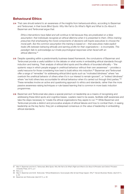## **Behavioural Ethics**

**3.14** That care should extend to an awareness of the insights from behavioural ethics, according to Bazerman and Tenbrunsel, in their book *Blind Spots: Why We Fail to Do What's Right and What to Do About It*. Bazerman and Tenbrunsel argue that:

*Ethics interventions have failed and will continue to fail because they are predicated on a false assumption: that individuals recognize an ethical dilemma when it is presented to them. Ethics training presumes that emphasizing the moral components of decisions will inspire executives to choose the moral path. But the common assumption this training is based on – that executives make explicit trade-offs between behaving ethically and earning profits for their organizations – is incomplete. This paradigm fails to acknowledge our innate psychological responses when faced with an ethical dilemma.*<sup>87</sup>

- **3.15** Despite operating within a predominantly business-based framework, the conclusions of Bazerman and Tenbrunsel provide a useful addition to the debate on what works in embedding ethical standards through induction and training. Their analysis of ethical blind spots and the effects of bounded ethicality – "the systemic ways in which people engage in unethical behaviour without their own awareness" – provides a useful resource for those considering how best to build ethics into induction.88 Bazerman and Tenbrunsel offer a range of "remedies" for addressing ethical blind spots such as "motivated blindness" where "we overlook the unethical behavior of others when it's in our interest to remain ignorant", or "indirect blindness" where "we hold others less accountable for ethical behaviour when it's carried out through third parties."<sup>89</sup> These remedies involve an active and questioning approach to ethics and standards, rather than the more passive awareness-raising techniques or rule-based learning that is common in more basic induction programmes.
- **3.16** Bazerman and Tenbrunsel also place a special premium on leadership as a means of recognising and addressing these blind spots and cognitive biases. Leaders need to be aware, facilitate staff awareness and take the steps necessary to "create the ethical organizations they aspire to run."<sup>90</sup> While Bazerman and Tenbrunsel provide a distinct and provocative analysis of ethical failures and how to combat them, in seeing leadership as the key factor, they join a widespread consensus on the value of leadership in embedding ethical standards.

<sup>87</sup> Max H. Bazerman and Ann E. Tenbrunsel, *Blind Spots: Why We Fail to Do What's Right and What to Do About It* (Princeton and Oxford: Princeton University Press, 2011), p.4

<sup>88</sup> Ibid, p. ix

<sup>89</sup> Max H. Bazerman and AnnE. Tenbrunsel, "Ethical Breakdowns: Good people often let bad things happen. Why?" *Harvard Business Review*, (April 2011), p. 63

<sup>90</sup> Bazerman and Tenbrunsel, (April 2011), p. 60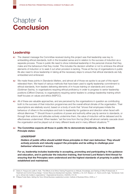## <span id="page-29-0"></span>Chapter 4 **Conclusion**

## **Leadership**

- **4.1** The clearest message the Committee received during this project was that leadership was key to embedding ethical standards, both in the broadest sense and in relation to the success of induction as a separate process. Those in public life need to show individual leadership in the personal choices that they make and the behaviours that they model. This includes the decision whether or not to embrace the ethical elements of induction or to seek it out when provision is lacking. Those at the top of organisations in public life also need to show leadership in taking all the necessary steps to ensure that ethical standards are fully embedded and embraced.
- **4.2** We made these points in *Standards Matters*, and almost all of those we spoke to as part of this report reiterated them. We heard of various methods that have been used to signify leadership commitment to ethical standards, from leaders delivering elements of in-house training on standards and conduct (Goldman Sachs), to organisations requiring ethical proficiency in order to progress to senior leadership positions (Clifford Chance), to organisations requiring senior leaders to undergo leadership training which itself focuses on values and ethics (NSPCC).
- **4.3** All of these are valuable approaches, and are perceived by the organisations in question as contributing both to the success of their induction programmes and the overall ethical climate of the organisation. Their assumptions are relatively sound, based on a body of work that "shows that employees imitate the behaviour of others in the workplace and look to leadership for guidance and direction when faced with ethical dilemmas."91 Should those in positions of power and authority either pay lip service to standards, or through their actions and attitudes actively undermine them, the value of induction will be debased and its effectiveness undermined. When leaders "set the tone from the top [this] will almost certainly cascade down the organisation and be played out at many different levels and in many different situations."<sup>92</sup>
- **4.4 The Committee expects all those in public life to demonstrate leadership. As the Seventh Principle states:**

#### *LEADERSHIP*

*Holders of public office should exhibit these principles in their own behaviour. They should actively promote and robustly support the principles and be willing to challenge poor behaviour wherever it occurs.*

**For us, leadership includes leadership in accepting, promoting and participating in the guidance and education, and in particular the induction training, that formed Lord Nolan's third thread for ensuring that the Principles were understood and the highest standards of propriety in public life established and maintained.**

<sup>91</sup> Delois A. Frisque and Judith A. Kolb, "The Effects of an Ethics Training Programme on Attitude, Knowledge, and Training of Office Professionals: A Treatment and Control Group Design," *Human Resource Development Quarterly*, 19(2008), p. 50, G.R. Weaver, L.K. Trevino and B. Agle, "Somebody I look up to: ethical role models in organizations," *Organizational Dynamics*, 34(2005), 313-30.

<sup>92</sup> Philippa Foster Back, *Setting the Tone: Ethical Business Leadership* (London: Institute of Business Ethics, 2005), p. 7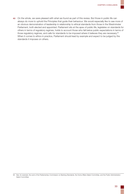**4.5** On the whole, we were pleased with what we found as part of this review. But those in public life can always do more to uphold the Principles that guide their behaviour. We would especially like to see more of an obvious demonstration of leadership in relationship to ethical standards from those in the Westminster Parliament, both elected and appointed. Parliament sits at the apex of public life, legislates on standards for others in terms of regulatory regimes, holds to account those who fall below public expectations in terms of those regulatory regimes, and calls for standards to be imposed where it believes they are necessary.<sup>93</sup> When it comes to ethics in practice, Parliament should lead by example and expect to be judged by the standards it imposes on others.

<sup>93</sup> See, for example, the work of the Parliamentary Commission on Banking Standards, the Home Affairs Select Committee, and the Public Administration Select Committee.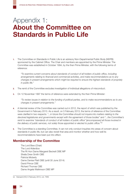## <span id="page-31-0"></span>Appendix 1: **About the Committee on Standards in Public Life**

**1.** The Committee on Standards in Public Life is an advisory Non-Departmental Public Body (NDPB) sponsored by the Cabinet Office. The Chair and members are appointed by the Prime Minister. The Committee was established in October 1994, by the then Prime Minister, with the following terms of reference:

*"To examine current concerns about standards of conduct of all holders of public office, including arrangements relating to financial and commercial activities, and make recommendations as to any changes in present arrangements which might be required to ensure the highest standards of propriety in public life."*

- **2.** The remit of the Committee excludes investigation of individual allegations of misconduct.
- **3.** On 12 November 1997 the terms of reference were extended by the then Prime Minister:

*"To review issues in relation to the funding of political parties, and to make recommendations as to any changes in present arrangements."*

- **4.** A triennial review of the Committee was carried out in 2012, the report of which was published by the Government in February 2013. As a result, on 5 February 2013, the terms of reference of the Committee were clarified in two respects: *"...in future the Committee should not inquire into matters relating to the devolved legislatures and governments except with the agreement of those bodies"* and *"...the Committee's remit to examine "standards of conduct of all holders of public office" [encompasses] all those involved in the delivery of public services, not solely those appointed or elected to public office."*<sup>94</sup>
- **5.** The Committee is a standing Committee. It can not only conduct inquiries into areas of concern about standards in public life, but can also revisit that area and monitor whether and how well its recommendations have been put into effect.

## **Membership of the Committee**

The Lord Bew (Chair) The Lord Alderdice The Rt Hon Dame Margaret Beckett DBE MP Sheila Drew Smith OBE Patricia Moberly Dame Denise Platt DBE (until 30 June 2014) David Prince CBE Richard Thomas CBE Dame Angela Watkinson DBE MP

<sup>94</sup> Hansard (HC) 5 February 2013, col. 7WS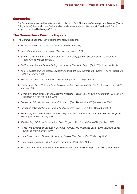## **Secretariat**

**6.** The Committee is assisted by a Secretariat consisting of Ruth Thompson (Secretary), Leila Brosnan (Senior Policy Adviser), Laurie Mousah (Policy Adviser) and James Anderson (Secretariat Coordinator). Press support is provided by Maggie O'Boyle.

## **The Committee's Previous Reports**

- **7.** The Committee has previously published the following reports.
	- *Ethical standards for providers of public services* (June 2014)
	- *Strengthening Transparency Around Lobbying* (November 2013)
	- *Standards Matter: A review of best practice in promoting good behaviour in public life* (Fourteenth Report) (Cm 8519)) (January 2013)
	- *Political party finance: Ending the big donor culture* (Thirteenth Report (Cm8208))(November 2011)
	- *MPs' Expenses and Allowances: Supporting Parliament, Safeguarding the Taxpayer* (Twelfth Report (Cm 7724))(November 2009)
	- *Review of the Electoral Commission* (Eleventh Report (Cm 7006)) (January 2007)
	- *Getting the Balance Right: Implementing Standards of Conduct in Public Life* (Tenth Report (Cm 6407)) (January 2005)
	- *Defining the Boundaries with the Executive: Ministers, Special Advisers and the Permanent Civil Service* (Ninth Report (Cm 5775)) (April 2003)
	- *Standards of Conduct in the House of Commons* (Eight Report (Cm 5663)) (November 2002)
	- *Standards of Conduct in the House of Lords* (Seventh Report (Cm 4903)) (November 2000)
	- *Reinforcing Standards: Review of the First Report of the Committee on Standards in Public Life* (Sixth Report (Cm 4557)) (January 2000)
	- *The Funding of Political Parties in the United Kingdom* (Fifth Report (Cm 4057)) (October 1998)
	- *Review of Standards of Conduct in Executive NDPBs, NHS Trusts and Local Public Spending Bodies* (Fourth Report) (November 1997)
	- *Local Government in England, Scotland and Wales* (Third Report (Cm 3702)) (July 1997)
	- *Local Public Spending Bodies* (Second Report (Cm 3207)) (June 1996)
	- *Members of Parliament, Ministers, Civil Servants and Quangos* (First Report (Cm 2850)) (May 1995)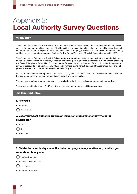# <span id="page-33-0"></span>Appendix 2: **Local Authority Survey Questions**

#### Introduction

The Committee on Standards in Public Life, sometimes called the Nolan Committee, is an independent body which advises Government on ethical standards. The Committee promotes high ethical standards in public life and works to ensure that the Seven Principles of Public Life - selflessness, integrity, objectivity, accountability, openness, honesty and leadership – underpin all aspects of public life. The Seven Principles of Public Life were introduced in 1995.

The Committee on Standards in Public Life is currently looking at how best to embed high ethical standards in public sector organisations through induction, education and training. By high ethical standards we mean actively observing the Seven Principles of Public Life. This could mean, for example, acting in terms of the public rather than personal or private interest and not being improperly influenced by others; being honest, open and transparent and declaring all personal interests; and making decisions impartially, fairly and on merit.

One of the areas we are looking at is whether advice and guidance on ethical standards are covered in induction and training programmes for elected representatives, including local councillors.

This survey asks about your experience of Local Authority induction and training programmes for councillors.

The survey should take about 10 - 15 minutes to complete, and responses will be anonymous.

#### Part One: Induction

#### 1. Are you a

Councillor

Council Official

### 2. Does your Local Authority provide an induction programme for newly elected councillors?

| es |
|----|
| N٥ |

|  | Don't know |  |
|--|------------|--|
|--|------------|--|

### 3. Did the Local Authority councillor induction programme you attended, or which you know about, take place

Less than 2 years ago

Between 2 and 5 years ago

5 to 10 years ago

More than 10 years ago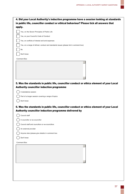| 4. Did your Local Authority's induction programme have a session looking at standards |
|---------------------------------------------------------------------------------------|
| in public life, councillor conduct or ethical behaviour? Please tick all answers that |
| apply.                                                                                |

| Yes, on the Seven Principles of Public Life                                           |  |
|---------------------------------------------------------------------------------------|--|
| Yes, on your Council's Code of Conduct                                                |  |
| Yes, on conflicts of interest and and expenses                                        |  |
| Yes, on a range of ethical, conduct and standards issues (please list in comment box) |  |
| No                                                                                    |  |
| Don't know                                                                            |  |
| <b>Comment Box</b>                                                                    |  |
|                                                                                       |  |
|                                                                                       |  |
|                                                                                       |  |
|                                                                                       |  |
|                                                                                       |  |

## 5. Was the standards in public life, councillor conduct or ethics element of your Local Authority councillor induction programme

| $( )$ A standalone session                                  |
|-------------------------------------------------------------|
| $($ $)$ Part of a longer session covering a range of topics |
| $($ $)$ Don't know                                          |

## 6. Was the standards in public life, councillor conduct or ethics element of your Local Authority councillor induction programme delivered by

| Council staff                                   |  |
|-------------------------------------------------|--|
| A councillor or ex-councillor                   |  |
| Council staff and councillors or ex-councillors |  |
| An external provider                            |  |
| Anyone else (please give details in comment box |  |
| Don't know                                      |  |
| <b>Comment Box</b>                              |  |
|                                                 |  |
|                                                 |  |
|                                                 |  |
|                                                 |  |
|                                                 |  |
|                                                 |  |
|                                                 |  |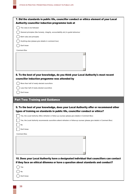| 7. Did the standards in public life, councillor conduct or ethics element of your Local                                    |
|----------------------------------------------------------------------------------------------------------------------------|
| Authority councillor induction programme look at                                                                           |
| The rules to be followed                                                                                                   |
| General principles (like honesty, integrity, accountability etc) to guide behaviour                                        |
| Both rules and principles                                                                                                  |
| Anything else (please give details in comment box)                                                                         |
| Don't know                                                                                                                 |
| <b>Comment Box</b>                                                                                                         |
|                                                                                                                            |
|                                                                                                                            |
|                                                                                                                            |
|                                                                                                                            |
|                                                                                                                            |
| 8. To the best of your knowledge, do you think your Local Authority's most recent                                          |
| councillor induction progamme was attended by                                                                              |
| More than half of newly elected councillors                                                                                |
| Less than half of newly elected councillors                                                                                |
| Don't know                                                                                                                 |
| <b>Part Two: Training and Guidance</b>                                                                                     |
|                                                                                                                            |
| 9. To the best of your knowledge, does your Local Authority offer or recommend other                                       |
| types of training on standards in public life, councillor conduct or ethics?                                               |
| Yes, the Local Authority offers refresher or follow up courses (please give details in Comment Box)                        |
| Yes, the Local Authority recommends councillors attend refresher or follow-up courses (please give details in Comment Box) |
| No                                                                                                                         |
| Don't know                                                                                                                 |
| <b>Comment Box</b>                                                                                                         |
|                                                                                                                            |
|                                                                                                                            |
|                                                                                                                            |
|                                                                                                                            |
|                                                                                                                            |
| 10. Does your Local Authority have a designated individual that councillors can contact                                    |
| if they face an ethical dilemma or have a question about standards and conduct?                                            |
| Yes                                                                                                                        |
| No                                                                                                                         |
| Don't know                                                                                                                 |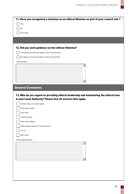| 11. Have you recognised a situation as an ethical dilemma as part of your council role?                                                                                                   |
|-------------------------------------------------------------------------------------------------------------------------------------------------------------------------------------------|
| Yes                                                                                                                                                                                       |
| No                                                                                                                                                                                        |
| Don't know                                                                                                                                                                                |
|                                                                                                                                                                                           |
|                                                                                                                                                                                           |
| 12. Did you seek guidance on the ethical dilemma?                                                                                                                                         |
| Yes (please provide brief details in the Comment Box)                                                                                                                                     |
| No (please provide brief details in the Comment Box)                                                                                                                                      |
| <b>Comment Box</b>                                                                                                                                                                        |
|                                                                                                                                                                                           |
| <b>General Comments</b>                                                                                                                                                                   |
| 13. Who do you regard as providing ethical leadership and maintaining the ethical tone<br>in your Local Authority? Please tick all answers that apply.<br>Elected mayor or council leader |
| Party group leader                                                                                                                                                                        |
| Party whip                                                                                                                                                                                |
| <b>Chief Executive</b>                                                                                                                                                                    |
| Other senior officer                                                                                                                                                                      |
| Other (please describe in Comment box)                                                                                                                                                    |
| No one                                                                                                                                                                                    |
| Don't know                                                                                                                                                                                |
| Other (please specify)                                                                                                                                                                    |
|                                                                                                                                                                                           |
|                                                                                                                                                                                           |
|                                                                                                                                                                                           |
|                                                                                                                                                                                           |
|                                                                                                                                                                                           |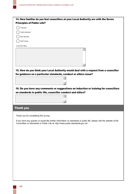| 14. How familiar do you feel councillors at your Local Authority are with the Seven                                                                                                                     |  |
|---------------------------------------------------------------------------------------------------------------------------------------------------------------------------------------------------------|--|
| <b>Principles of Public Life?</b>                                                                                                                                                                       |  |
| Familiar                                                                                                                                                                                                |  |
| Fairly familiar                                                                                                                                                                                         |  |
| Not familiar                                                                                                                                                                                            |  |
| Don't know                                                                                                                                                                                              |  |
|                                                                                                                                                                                                         |  |
| <b>Comment Box</b>                                                                                                                                                                                      |  |
|                                                                                                                                                                                                         |  |
| 15. How do you think your Local Authority would deal with a request from a councillor                                                                                                                   |  |
| for guidance on a particular standards, conduct or ethics issue?                                                                                                                                        |  |
|                                                                                                                                                                                                         |  |
|                                                                                                                                                                                                         |  |
| 16. Do you have any comments or suggestions on induction or training for councillors                                                                                                                    |  |
| on standards in public life, councillor conduct and ethics?                                                                                                                                             |  |
|                                                                                                                                                                                                         |  |
|                                                                                                                                                                                                         |  |
|                                                                                                                                                                                                         |  |
| <b>Thank you</b>                                                                                                                                                                                        |  |
|                                                                                                                                                                                                         |  |
| Thank you for completing this survey.                                                                                                                                                                   |  |
| If you have any queries or would like further information on standards in public life, please visit the website of the<br>Committee on Standards in Public Life at: http://www.public-standards.gov.uk/ |  |
|                                                                                                                                                                                                         |  |
|                                                                                                                                                                                                         |  |
|                                                                                                                                                                                                         |  |
|                                                                                                                                                                                                         |  |
|                                                                                                                                                                                                         |  |
|                                                                                                                                                                                                         |  |
|                                                                                                                                                                                                         |  |
|                                                                                                                                                                                                         |  |
|                                                                                                                                                                                                         |  |
|                                                                                                                                                                                                         |  |
|                                                                                                                                                                                                         |  |
|                                                                                                                                                                                                         |  |
|                                                                                                                                                                                                         |  |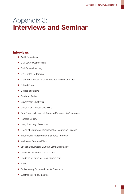## <span id="page-38-0"></span>Appendix 3: **Interviews and Seminar**

## **Interviews**

- Audit Commission
- Civil Service Commission
- Civil Service Learning
- Clerk of the Parliaments
- Clerk to the House of Commons Standards Committee
- Clifford Chance
- College of Policing
- Goldman Sachs
- Government Chief Whip
- Government Deputy Chief Whip
- Paul Grant, Independent Trainer in Parliament & Government
- **Hansard Society**
- Hoey Ainscough Associates
- House of Commons, Department of Information Services
- Independent Parliamentary Standards Authority
- Institute of Business Ethics
- Sir Richard Lambert, Banking Standards Review
- Leader of the House of Commons
- Leadership Centre for Local Government
- NSPCC
- Parliamentary Commissioner for Standards
- Westminster Abbey Institute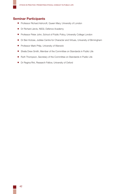## **Seminar Participants**

- Professor Richard Ashcroft, Queen Mary, University of London
- Dr Richard Jarvis, NSGI, Defence Academy
- Professor Peter John, School of Public Policy, University College London
- Dr Ben Kotzee, Jubilee Centre for Character and Virtues, University of Birmingham
- Professor Mark Philp, University of Warwick
- Sheila Drew Smith, Member of the Committee on Standards in Public Life
- Ruth Thompson, Secretary of the Committee on Standards in Public Life
- Dr Regina Rini, Research Fellow, University of Oxford